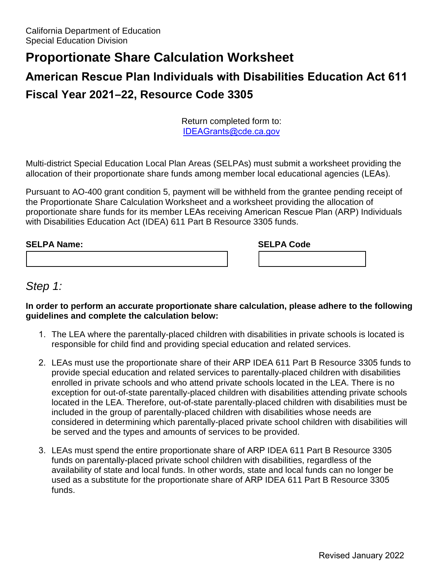## **Proportionate Share Calculation Worksheet**

# **American Rescue Plan Individuals with Disabilities Education Act 611 Fiscal Year 2021–22, Resource Code 3305**

Return completed form to: IDEAGrants@cde.ca.gov

 allocation of their proportionate share funds among member local educational agencies (LEAs). Multi-district Special Education Local Plan Areas (SELPAs) must submit a worksheet providing the

 Pursuant to AO-400 grant condition 5, payment will be withheld from the grantee pending receipt of with Disabilities Education Act (IDEA) 611 Part B Resource 3305 funds. the Proportionate Share Calculation Worksheet and a worksheet providing the allocation of proportionate share funds for its member LEAs receiving American Rescue Plan (ARP) Individuals

| <b>SELPA Name:</b> | <b>SELPA Code</b> |  |
|--------------------|-------------------|--|
|                    |                   |  |

### *Step 1:*

**In order to perform an accurate proportionate share calculation, please adhere to the following guidelines and complete the calculation below:** 

- 1. The LEA where the parentally-placed children with disabilities in private schools is located is responsible for child find and providing special education and related services.
- enrolled in private schools and who attend private schools located in the LEA. There is no 2. LEAs must use the proportionate share of their ARP IDEA 611 Part B Resource 3305 funds to provide special education and related services to parentally-placed children with disabilities exception for out-of-state parentally-placed children with disabilities attending private schools located in the LEA. Therefore, out-of-state parentally-placed children with disabilities must be included in the group of parentally-placed children with disabilities whose needs are considered in determining which parentally-placed private school children with disabilities will be served and the types and amounts of services to be provided.
- 3. LEAs must spend the entire proportionate share of ARP IDEA 611 Part B Resource 3305 availability of state and local funds. In other words, state and local funds can no longer be funds on parentally-placed private school children with disabilities, regardless of the used as a substitute for the proportionate share of ARP IDEA 611 Part B Resource 3305 funds.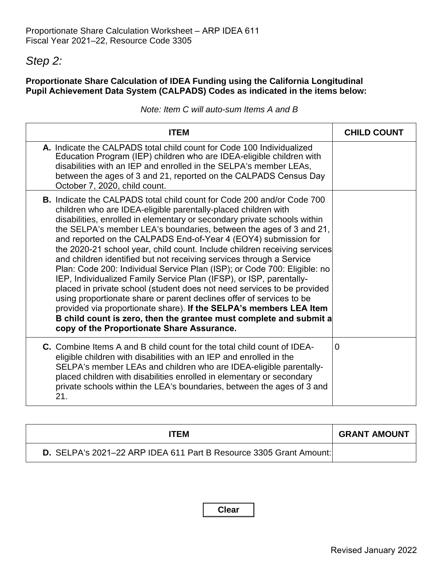## *Step 2:*

#### **Proportionate Share Calculation of IDEA Funding using the California Longitudinal Pupil Achievement Data System (CALPADS) Codes as indicated in the items below:**

|  |  |  | Note: Item C will auto-sum Items A and B |  |  |
|--|--|--|------------------------------------------|--|--|
|--|--|--|------------------------------------------|--|--|

| <b>ITEM</b>                                                                                                                                                                                                                                                                                                                                                                                                                                                                                                                                                                                                                                                                                                                                                                                                                                                                                                                                                                                                               | <b>CHILD COUNT</b> |
|---------------------------------------------------------------------------------------------------------------------------------------------------------------------------------------------------------------------------------------------------------------------------------------------------------------------------------------------------------------------------------------------------------------------------------------------------------------------------------------------------------------------------------------------------------------------------------------------------------------------------------------------------------------------------------------------------------------------------------------------------------------------------------------------------------------------------------------------------------------------------------------------------------------------------------------------------------------------------------------------------------------------------|--------------------|
| A. Indicate the CALPADS total child count for Code 100 Individualized<br>Education Program (IEP) children who are IDEA-eligible children with<br>disabilities with an IEP and enrolled in the SELPA's member LEAs,<br>between the ages of 3 and 21, reported on the CALPADS Census Day<br>October 7, 2020, child count.                                                                                                                                                                                                                                                                                                                                                                                                                                                                                                                                                                                                                                                                                                   |                    |
| <b>B.</b> Indicate the CALPADS total child count for Code 200 and/or Code 700<br>children who are IDEA-eligible parentally-placed children with<br>disabilities, enrolled in elementary or secondary private schools within<br>the SELPA's member LEA's boundaries, between the ages of 3 and 21,<br>and reported on the CALPADS End-of-Year 4 (EOY4) submission for<br>the 2020-21 school year, child count. Include children receiving services<br>and children identified but not receiving services through a Service<br>Plan: Code 200: Individual Service Plan (ISP); or Code 700: Eligible: no<br>IEP, Individualized Family Service Plan (IFSP), or ISP, parentally-<br>placed in private school (student does not need services to be provided<br>using proportionate share or parent declines offer of services to be<br>provided via proportionate share). If the SELPA's members LEA Item<br>B child count is zero, then the grantee must complete and submit a<br>copy of the Proportionate Share Assurance. |                    |
| <b>C.</b> Combine Items A and B child count for the total child count of IDEA-<br>eligible children with disabilities with an IEP and enrolled in the<br>SELPA's member LEAs and children who are IDEA-eligible parentally-<br>placed children with disabilities enrolled in elementary or secondary<br>private schools within the LEA's boundaries, between the ages of 3 and<br>21.                                                                                                                                                                                                                                                                                                                                                                                                                                                                                                                                                                                                                                     | $\Omega$           |

| ITEM                                                               | <b>GRANT AMOUNT</b> |
|--------------------------------------------------------------------|---------------------|
| D. SELPA's 2021-22 ARP IDEA 611 Part B Resource 3305 Grant Amount: |                     |

**Clear**